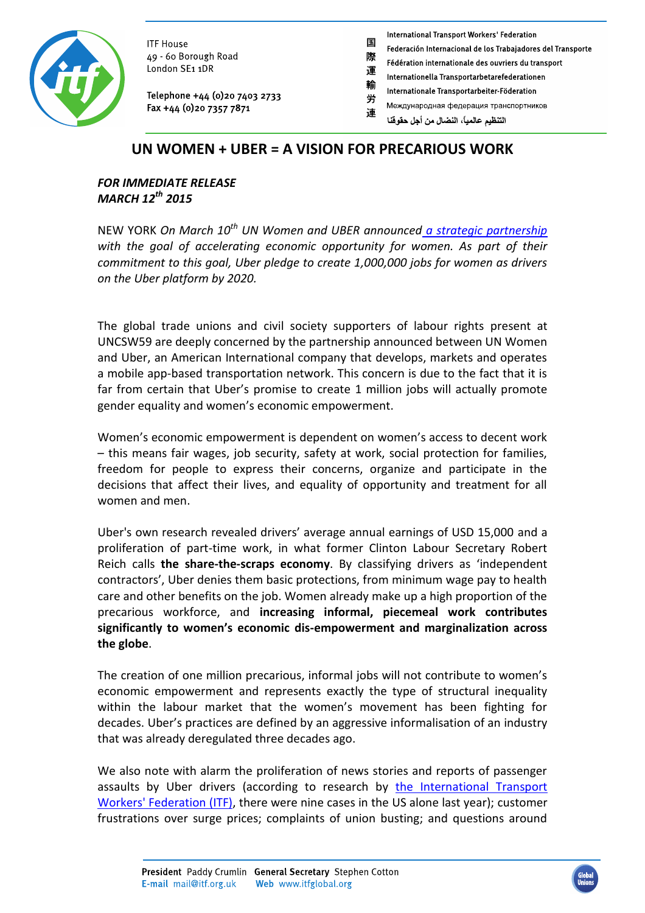

**ITF House** 49 - 60 Borough Road London SE1 1DR

Telephone +44 (0)20 7403 2733 Fax +44 (0) 20 7357 7871

**International Transport Workers' Federation** 

- Federación Internacional de los Trabajadores del Transporte
- 際 Fédération internationale des ouvriers du transport
- 運 Internationella Transportarbetarefederationen
- 輸 Internationale Transportarbeiter-Föderation 労
- Международная федерация транспортников 連

التنظيم عالمياً، النضال من أجل حقوقنا

## **UN WOMEN + UBER = A VISION FOR PRECARIOUS WORK**

国

### *FOR IMMEDIATE RELEASE MARCH 12th 2015*

NEW YORK *On March 10th UN Women and UBER announced [a strategic partnership](http://blog.uber.com/un-women)  with the goal of accelerating economic opportunity for women. As part of their commitment to this goal, Uber pledge to create 1,000,000 jobs for women as drivers on the Uber platform by 2020.*

The global trade unions and civil society supporters of labour rights present at UNCSW59 are deeply concerned by the partnership announced between UN Women and Uber, an American International company that develops, markets and operates a mobile app-based transportation network. This concern is due to the fact that it is far from certain that Uber's promise to create 1 million jobs will actually promote gender equality and women's economic empowerment.

Women's economic empowerment is dependent on women's access to decent work – this means fair wages, job security, safety at work, social protection for families, freedom for people to express their concerns, organize and participate in the decisions that affect their lives, and equality of opportunity and treatment for all women and men.

Uber's own research revealed drivers' average annual earnings of USD 15,000 and a proliferation of part-time work, in what former Clinton Labour Secretary Robert Reich calls **the share-the-scraps economy**. By classifying drivers as 'independent contractors', Uber denies them basic protections, from minimum wage pay to health care and other benefits on the job. Women already make up a high proportion of the precarious workforce, and **increasing informal, piecemeal work contributes significantly to women's economic dis-empowerment and marginalization across the globe**.

The creation of one million precarious, informal jobs will not contribute to women's economic empowerment and represents exactly the type of structural inequality within the labour market that the women's movement has been fighting for decades. Uber's practices are defined by an aggressive informalisation of an industry that was already deregulated three decades ago.

We also note with alarm the proliferation of news stories and reports of passenger assaults by Uber drivers (according to research by the International Transport [Workers' Federation \(ITF\),](http://www.itfglobal.org/) there were nine cases in the US alone last year); customer frustrations over surge prices; complaints of union busting; and questions around